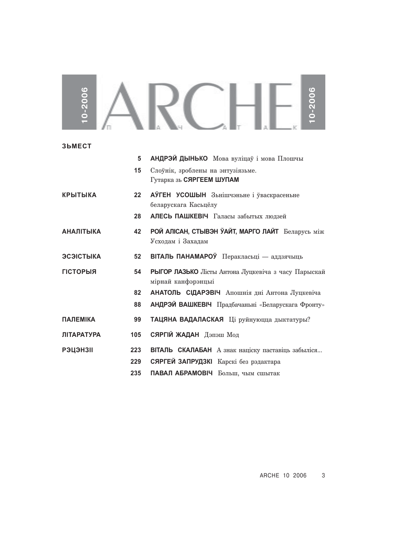## SARCHES **10-2006 10-2006**

| <b>3bMECT</b>     |         |                                                                           |
|-------------------|---------|---------------------------------------------------------------------------|
|                   | 5       | АНДРЭЙ ДЫНЬКО Мова вуліцаў і мова Плошчы                                  |
|                   | 15      | Слоўнік, зроблены на энтузіязьме.<br>Гутарка зь СЯРГЕЕМ ШУПАМ             |
| <b>КРЫТЫКА</b>    | $22 \,$ | АЎГЕН УСОШЫН Зьнішчэньне і ўваскрасеньне<br>беларускага Касьцёлу          |
|                   | 28      | АЛЕСЬ ПАШКЕВІЧ Галасы забытых людзей                                      |
| <b>АНАЛІТЫКА</b>  | 42      | РОЙ АЛІСАН, СТЫВЭН ЎАЙТ, МАРГО ЛАЙТ Беларусь між<br>Усходам і Захадам     |
| ЭСЭІСТЫКА         | 52      | ВІТАЛЬ ПАНАМАРОЎ Перакласьці — аддзячыць                                  |
| <b>ГІСТОРЫЯ</b>   | 54      | РЫГОР ЛАЗЬКО Лісты Антона Луцкевіча з часу Парыскай<br>мірнай канфэрэнцыі |
|                   | 82      | АНАТОЛЬ СІДАРЭВІЧ Апошнія дні Антона Луцкевіча                            |
|                   | 88      | <b>АНДРЭЙ ВАШКЕВІЧ</b> Прадбачаньні «Беларускага Фронту»                  |
| <b>ПАЛЕМІКА</b>   | 99      | ТАЦЯНА ВАДАЛАСКАЯ Ці руйнуюцца дыктатуры?                                 |
| <b>ЛІТАРАТУРА</b> | 105     | СЯРГІЙ ЖАДАН Дэпэш Мод                                                    |
| <b>РЭЦЭНЗІІ</b>   | 223     | ВІТАЛЬ СКАЛАБАН А знак націску паставіць забыліся                         |
|                   | 229     | СЯРГЕЙ ЗАПРУДЗКІ Карскі без рэдактара                                     |
|                   | 235     | ПАВАЛ АБРАМОВІЧ Больш, чым сшытак                                         |